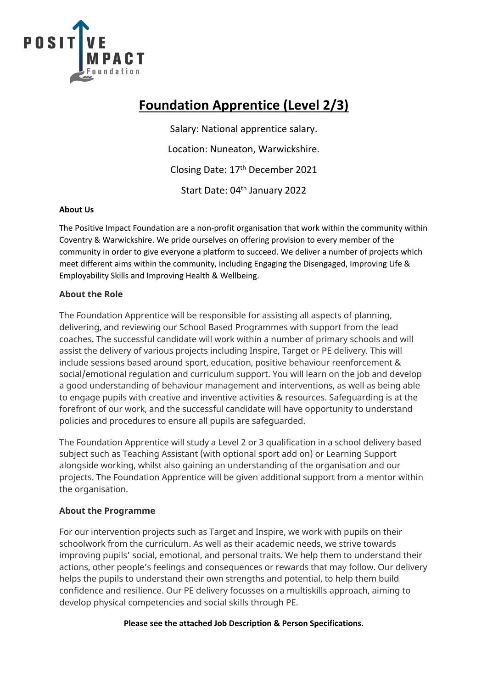

## **Foundation Apprentice (Level 2/3)**

Salary: National apprentice salary. Location: Nuneaton, Warwickshire. Closing Date: 17th December 2021 Start Date: 04<sup>th</sup> January 2022

#### **About Us**

The Positive Impact Foundation are a non-profit organisation that work within the community within Coventry & Warwickshire. We pride ourselves on offering provision to every member of the community in order to give everyone a platform to succeed. We deliver a number of projects which meet different aims within the community, including Engaging the Disengaged, Improving Life & Employability Skills and Improving Health & Wellbeing.

### **About the Role**

The Foundation Apprentice will be responsible for assisting all aspects of planning, delivering, and reviewing our School Based Programmes with support from the lead coaches. The successful candidate will work within a number of primary schools and will assist the delivery of various projects including Inspire, Target or PE delivery. This will include sessions based around sport, education, positive behaviour reenforcement & social/emotional regulation and curriculum support. You will learn on the job and develop a good understanding of behaviour management and interventions, as well as being able to engage pupils with creative and inventive activities & resources. Safeguarding is at the forefront of our work, and the successful candidate will have opportunity to understand policies and procedures to ensure all pupils are safeguarded.

The Foundation Apprentice will study a Level 2 or 3 qualification in a school delivery based subject such as Teaching Assistant (with optional sport add on) or Learning Support alongside working, whilst also gaining an understanding of the organisation and our projects. The Foundation Apprentice will be given additional support from a mentor within the organisation.

### **About the Programme**

For our intervention projects such as Target and Inspire, we work with pupils on their schoolwork from the curriculum. As well as their academic needs, we strive towards improving pupils' social, emotional, and personal traits. We help them to understand their actions, other people's feelings and consequences or rewards that may follow. Our delivery helps the pupils to understand their own strengths and potential, to help them build confidence and resilience. Our PE delivery focusses on a multiskills approach, aiming to develop physical competencies and social skills through PE.

### **Please see the attached Job Description & Person Specifications.**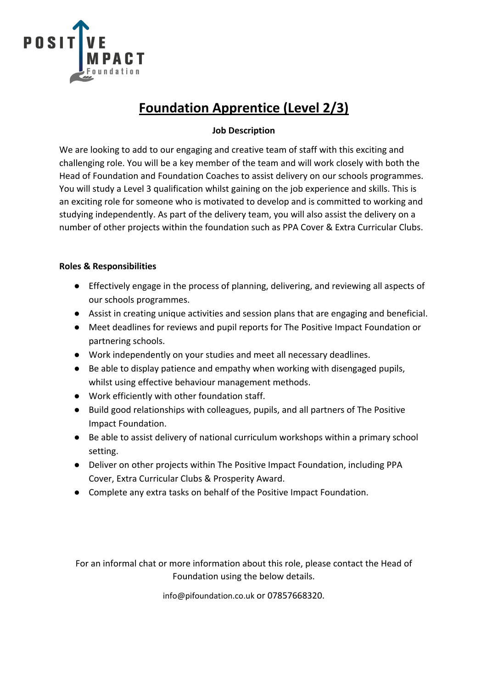

## **Foundation Apprentice (Level 2/3)**

### **Job Description**

We are looking to add to our engaging and creative team of staff with this exciting and challenging role. You will be a key member of the team and will work closely with both the Head of Foundation and Foundation Coaches to assist delivery on our schools programmes. You will study a Level 3 qualification whilst gaining on the job experience and skills. This is an exciting role for someone who is motivated to develop and is committed to working and studying independently. As part of the delivery team, you will also assist the delivery on a number of other projects within the foundation such as PPA Cover & Extra Curricular Clubs.

#### **Roles & Responsibilities**

- Effectively engage in the process of planning, delivering, and reviewing all aspects of our schools programmes.
- Assist in creating unique activities and session plans that are engaging and beneficial.
- Meet deadlines for reviews and pupil reports for The Positive Impact Foundation or partnering schools.
- Work independently on your studies and meet all necessary deadlines.
- Be able to display patience and empathy when working with disengaged pupils, whilst using effective behaviour management methods.
- Work efficiently with other foundation staff.
- Build good relationships with colleagues, pupils, and all partners of The Positive Impact Foundation.
- Be able to assist delivery of national curriculum workshops within a primary school setting.
- Deliver on other projects within The Positive Impact Foundation, including PPA Cover, Extra Curricular Clubs & Prosperity Award.
- Complete any extra tasks on behalf of the Positive Impact Foundation.

For an informal chat or more information about this role, please contact the Head of Foundation using the below details.

info@pifoundation.co.uk or 07857668320.